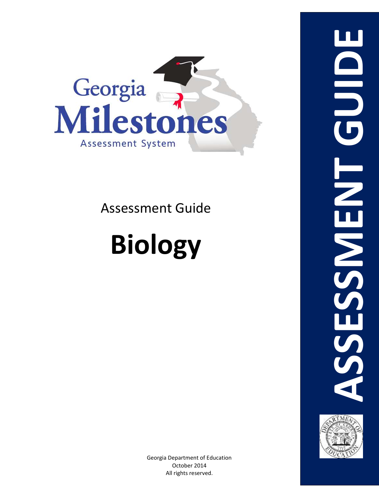

Assessment Guide

# **Biology**



Georgia Department of Education October 2014 All rights reserved.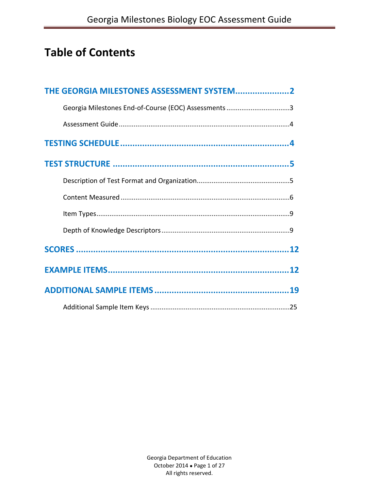# **Table of Contents**

| THE GEORGIA MILESTONES ASSESSMENT SYSTEM2            |  |
|------------------------------------------------------|--|
| Georgia Milestones End-of-Course (EOC) Assessments 3 |  |
|                                                      |  |
|                                                      |  |
|                                                      |  |
|                                                      |  |
|                                                      |  |
|                                                      |  |
|                                                      |  |
|                                                      |  |
|                                                      |  |
|                                                      |  |
|                                                      |  |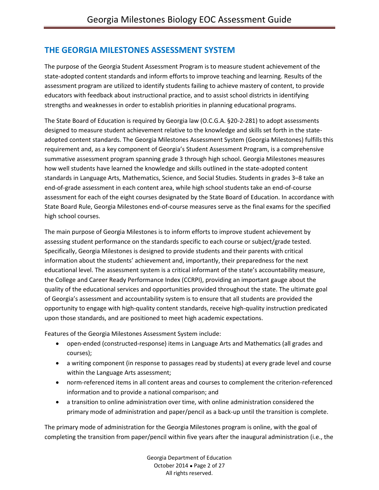## **THE GEORGIA MILESTONES ASSESSMENT SYSTEM**

The purpose of the Georgia Student Assessment Program is to measure student achievement of the state-adopted content standards and inform efforts to improve teaching and learning. Results of the assessment program are utilized to identify students failing to achieve mastery of content, to provide educators with feedback about instructional practice, and to assist school districts in identifying strengths and weaknesses in order to establish priorities in planning educational programs.

The State Board of Education is required by Georgia law (O.C.G.A. §20-2-281) to adopt assessments designed to measure student achievement relative to the knowledge and skills set forth in the stateadopted content standards. The Georgia Milestones Assessment System (Georgia Milestones) fulfills this requirement and, as a key component of Georgia's Student Assessment Program, is a comprehensive summative assessment program spanning grade 3 through high school. Georgia Milestones measures how well students have learned the knowledge and skills outlined in the state-adopted content standards in Language Arts, Mathematics, Science, and Social Studies. Students in grades 3–8 take an end-of-grade assessment in each content area, while high school students take an end-of-course assessment for each of the eight courses designated by the State Board of Education. In accordance with State Board Rule, Georgia Milestones end-of-course measures serve as the final exams for the specified high school courses.

The main purpose of Georgia Milestones is to inform efforts to improve student achievement by assessing student performance on the standards specific to each course or subject/grade tested. Specifically, Georgia Milestones is designed to provide students and their parents with critical information about the students' achievement and, importantly, their preparedness for the next educational level. The assessment system is a critical informant of the state's accountability measure, the College and Career Ready Performance Index (CCRPI), providing an important gauge about the quality of the educational services and opportunities provided throughout the state. The ultimate goal of Georgia's assessment and accountability system is to ensure that all students are provided the opportunity to engage with high-quality content standards, receive high-quality instruction predicated upon those standards, and are positioned to meet high academic expectations.

Features of the Georgia Milestones Assessment System include:

- open-ended (constructed-response) items in Language Arts and Mathematics (all grades and courses);
- a writing component (in response to passages read by students) at every grade level and course within the Language Arts assessment;
- norm-referenced items in all content areas and courses to complement the criterion-referenced information and to provide a national comparison; and
- a transition to online administration over time, with online administration considered the primary mode of administration and paper/pencil as a back-up until the transition is complete.

The primary mode of administration for the Georgia Milestones program is online, with the goal of completing the transition from paper/pencil within five years after the inaugural administration (i.e., the

> Georgia Department of Education October 2014 . Page 2 of 27 All rights reserved.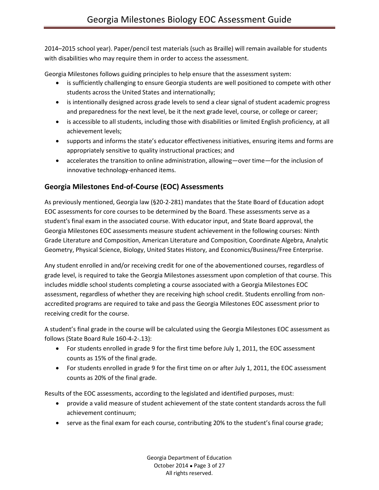2014–2015 school year). Paper/pencil test materials (such as Braille) will remain available for students with disabilities who may require them in order to access the assessment.

Georgia Milestones follows guiding principles to help ensure that the assessment system:

- is sufficiently challenging to ensure Georgia students are well positioned to compete with other students across the United States and internationally;
- is intentionally designed across grade levels to send a clear signal of student academic progress and preparedness for the next level, be it the next grade level, course, or college or career;
- is accessible to all students, including those with disabilities or limited English proficiency, at all achievement levels;
- supports and informs the state's educator effectiveness initiatives, ensuring items and forms are appropriately sensitive to quality instructional practices; and
- accelerates the transition to online administration, allowing—over time—for the inclusion of innovative technology-enhanced items.

## **Georgia Milestones End-of-Course (EOC) Assessments**

As previously mentioned, Georgia law (§20-2-281) mandates that the State Board of Education adopt EOC assessments for core courses to be determined by the Board. These assessments serve as a student's final exam in the associated course. With educator input, and State Board approval, the Georgia Milestones EOC assessments measure student achievement in the following courses: Ninth Grade Literature and Composition, American Literature and Composition, Coordinate Algebra, Analytic Geometry, Physical Science, Biology, United States History, and Economics/Business/Free Enterprise.

Any student enrolled in and/or receiving credit for one of the abovementioned courses, regardless of grade level, is required to take the Georgia Milestones assessment upon completion of that course. This includes middle school students completing a course associated with a Georgia Milestones EOC assessment, regardless of whether they are receiving high school credit. Students enrolling from nonaccredited programs are required to take and pass the Georgia Milestones EOC assessment prior to receiving credit for the course.

A student's final grade in the course will be calculated using the Georgia Milestones EOC assessment as follows (State Board Rule 160-4-2-.13):

- For students enrolled in grade 9 for the first time before July 1, 2011, the EOC assessment counts as 15% of the final grade.
- For students enrolled in grade 9 for the first time on or after July 1, 2011, the EOC assessment counts as 20% of the final grade.

Results of the EOC assessments, according to the legislated and identified purposes, must:

- provide a valid measure of student achievement of the state content standards across the full achievement continuum;
- serve as the final exam for each course, contributing 20% to the student's final course grade;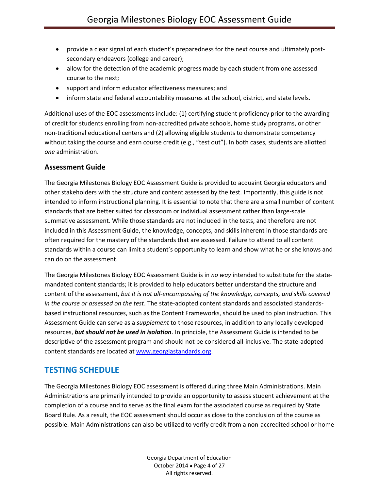- provide a clear signal of each student's preparedness for the next course and ultimately postsecondary endeavors (college and career);
- allow for the detection of the academic progress made by each student from one assessed course to the next;
- support and inform educator effectiveness measures; and
- inform state and federal accountability measures at the school, district, and state levels.

Additional uses of the EOC assessments include: (1) certifying student proficiency prior to the awarding of credit for students enrolling from non-accredited private schools, home study programs, or other non-traditional educational centers and (2) allowing eligible students to demonstrate competency without taking the course and earn course credit (e.g., "test out"). In both cases, students are allotted *one* administration.

#### **Assessment Guide**

The Georgia Milestones Biology EOC Assessment Guide is provided to acquaint Georgia educators and other stakeholders with the structure and content assessed by the test. Importantly, this guide is not intended to inform instructional planning. It is essential to note that there are a small number of content standards that are better suited for classroom or individual assessment rather than large-scale summative assessment. While those standards are not included in the tests, and therefore are not included in this Assessment Guide, the knowledge, concepts, and skills inherent in those standards are often required for the mastery of the standards that are assessed. Failure to attend to all content standards within a course can limit a student's opportunity to learn and show what he or she knows and can do on the assessment.

The Georgia Milestones Biology EOC Assessment Guide is in *no way* intended to substitute for the statemandated content standards; it is provided to help educators better understand the structure and content of the assessment, *but it is not all-encompassing of the knowledge, concepts, and skills covered in the course or assessed on the test*. The state-adopted content standards and associated standardsbased instructional resources, such as the Content Frameworks, should be used to plan instruction. This Assessment Guide can serve as a *supplement* to those resources, in addition to any locally developed resources, *but should not be used in isolation*. In principle, the Assessment Guide is intended to be descriptive of the assessment program and should not be considered all-inclusive. The state-adopted content standards are located at [www.georgiastandards.org.](http://www.georgiastandards.org/)

## **TESTING SCHEDULE**

The Georgia Milestones Biology EOC assessment is offered during three Main Administrations. Main Administrations are primarily intended to provide an opportunity to assess student achievement at the completion of a course and to serve as the final exam for the associated course as required by State Board Rule. As a result, the EOC assessment should occur as close to the conclusion of the course as possible. Main Administrations can also be utilized to verify credit from a non-accredited school or home

> Georgia Department of Education October 2014 . Page 4 of 27 All rights reserved.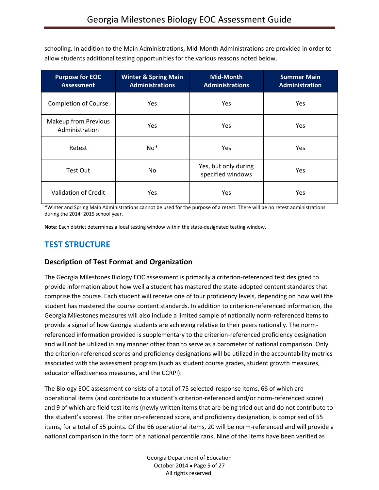schooling. In addition to the Main Administrations, Mid-Month Administrations are provided in order to allow students additional testing opportunities for the various reasons noted below.

| <b>Purpose for EOC</b><br><b>Assessment</b> | <b>Winter &amp; Spring Main</b><br><b>Administrations</b> | <b>Mid-Month</b><br><b>Administrations</b> | <b>Summer Main</b><br><b>Administration</b> |
|---------------------------------------------|-----------------------------------------------------------|--------------------------------------------|---------------------------------------------|
| <b>Completion of Course</b>                 | Yes                                                       | Yes                                        | Yes                                         |
| Makeup from Previous<br>Administration      | Yes                                                       | Yes.                                       | <b>Yes</b>                                  |
| Retest                                      | $No*$                                                     | Yes.                                       | <b>Yes</b>                                  |
| Test Out                                    | No                                                        | Yes, but only during<br>specified windows  | <b>Yes</b>                                  |
| Validation of Credit                        | Yes                                                       | Yes                                        | Yes                                         |

**\***Winter and Spring Main Administrations cannot be used for the purpose of a retest. There will be no retest administrations during the 2014–2015 school year.

**Note**: Each district determines a local testing window within the state-designated testing window.

## **TEST STRUCTURE**

#### **Description of Test Format and Organization**

The Georgia Milestones Biology EOC assessment is primarily a criterion-referenced test designed to provide information about how well a student has mastered the state-adopted content standards that comprise the course. Each student will receive one of four proficiency levels, depending on how well the student has mastered the course content standards. In addition to criterion-referenced information, the Georgia Milestones measures will also include a limited sample of nationally norm-referenced items to provide a signal of how Georgia students are achieving relative to their peers nationally. The normreferenced information provided is supplementary to the criterion-referenced proficiency designation and will not be utilized in any manner other than to serve as a barometer of national comparison. Only the criterion-referenced scores and proficiency designations will be utilized in the accountability metrics associated with the assessment program (such as student course grades, student growth measures, educator effectiveness measures, and the CCRPI).

The Biology EOC assessment consists of a total of 75 selected-response items, 66 of which are operational items (and contribute to a student's criterion-referenced and/or norm-referenced score) and 9 of which are field test items (newly written items that are being tried out and do not contribute to the student's scores). The criterion-referenced score, and proficiency designation, is comprised of 55 items, for a total of 55 points. Of the 66 operational items, 20 will be norm-referenced and will provide a national comparison in the form of a national percentile rank. Nine of the items have been verified as

> Georgia Department of Education October 2014 . Page 5 of 27 All rights reserved.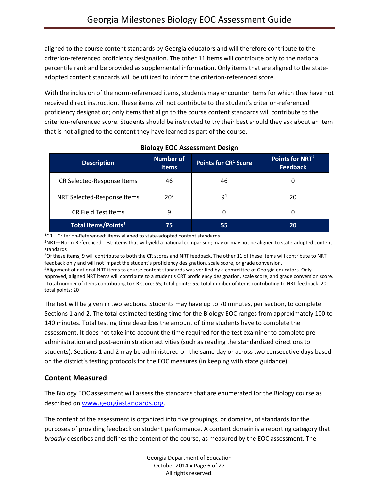aligned to the course content standards by Georgia educators and will therefore contribute to the criterion-referenced proficiency designation. The other 11 items will contribute only to the national percentile rank and be provided as supplemental information. Only items that are aligned to the stateadopted content standards will be utilized to inform the criterion-referenced score.

With the inclusion of the norm-referenced items, students may encounter items for which they have not received direct instruction. These items will not contribute to the student's criterion-referenced proficiency designation; only items that align to the course content standards will contribute to the criterion-referenced score. Students should be instructed to try their best should they ask about an item that is not aligned to the content they have learned as part of the course.

| <b>Description</b>                    | <b>Number of</b><br><b>Items</b> | Points for CR <sup>1</sup> Score | Points for NRT <sup>2</sup><br><b>Feedback</b> |
|---------------------------------------|----------------------------------|----------------------------------|------------------------------------------------|
| CR Selected-Response Items            | 46                               | 46                               |                                                |
| NRT Selected-Response Items           | 20 <sup>3</sup>                  | 9 <sup>4</sup>                   | 20                                             |
| <b>CR Field Test Items</b>            | 9                                | 0                                |                                                |
| <b>Total Items/Points<sup>5</sup></b> | 75                               | 55                               | 20                                             |

### **Biology EOC Assessment Design**

<sup>1</sup>CR—Criterion-Referenced: items aligned to state-adopted content standards

<sup>2</sup>NRT—Norm-Referenced Test: items that will yield a national comparison; may or may not be aligned to state-adopted content standards

<sup>3</sup>Of these items, 9 will contribute to both the CR scores and NRT feedback. The other 11 of these items will contribute to NRT feedback only and will not impact the student's proficiency designation, scale score, or grade conversion.

<sup>4</sup>Alignment of national NRT items to course content standards was verified by a committee of Georgia educators. Only approved, aligned NRT items will contribute to a student's CRT proficiency designation, scale score, and grade conversion score. <sup>5</sup>Total number of items contributing to CR score: 55; total points: 55; total number of items contributing to NRT feedback: 20; total points: 20

The test will be given in two sections. Students may have up to 70 minutes, per section, to complete Sections 1 and 2. The total estimated testing time for the Biology EOC ranges from approximately 100 to 140 minutes. Total testing time describes the amount of time students have to complete the assessment. It does not take into account the time required for the test examiner to complete preadministration and post-administration activities (such as reading the standardized directions to students). Sections 1 and 2 may be administered on the same day or across two consecutive days based on the district's testing protocols for the EOC measures (in keeping with state guidance).

#### **Content Measured**

The Biology EOC assessment will assess the standards that are enumerated for the Biology course as described on [www.georgiastandards.org](http://www.georgiastandards.org/).

The content of the assessment is organized into five groupings, or domains, of standards for the purposes of providing feedback on student performance. A content domain is a reporting category that *broadly* describes and defines the content of the course, as measured by the EOC assessment. The

> Georgia Department of Education October 2014 . Page 6 of 27 All rights reserved.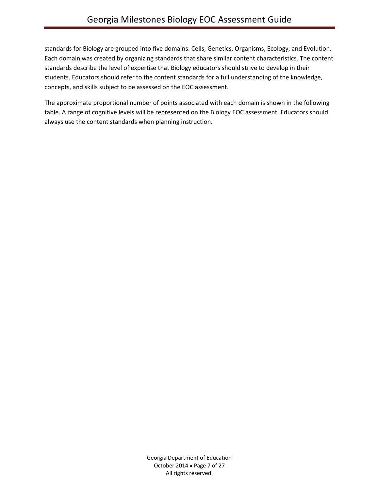standards for Biology are grouped into five domains: Cells, Genetics, Organisms, Ecology, and Evolution. Each domain was created by organizing standards that share similar content characteristics. The content standards describe the level of expertise that Biology educators should strive to develop in their students. Educators should refer to the content standards for a full understanding of the knowledge, concepts, and skills subject to be assessed on the EOC assessment.

The approximate proportional number of points associated with each domain is shown in the following table. A range of cognitive levels will be represented on the Biology EOC assessment. Educators should always use the content standards when planning instruction.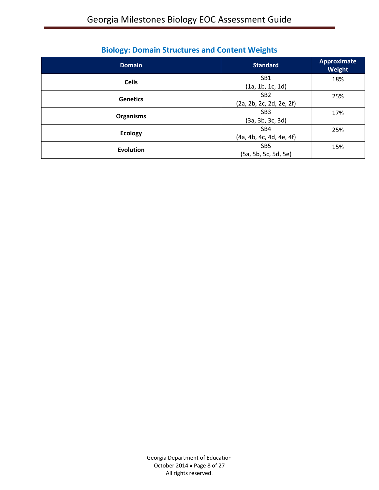| <b>Domain</b>    | <b>Standard</b>                             | <b>Approximate</b><br>Weight |
|------------------|---------------------------------------------|------------------------------|
| <b>Cells</b>     | SB <sub>1</sub>                             | 18%                          |
|                  | (1a, 1b, 1c, 1d)                            |                              |
| <b>Genetics</b>  | SB <sub>2</sub><br>(2a, 2b, 2c, 2d, 2e, 2f) | 25%                          |
|                  | SB <sub>3</sub>                             | 17%                          |
| <b>Organisms</b> | (3a, 3b, 3c, 3d)                            |                              |
| <b>Ecology</b>   | SB4                                         | 25%                          |
|                  | (4a, 4b, 4c, 4d, 4e, 4f)                    |                              |
| <b>Evolution</b> | SB <sub>5</sub>                             | 15%                          |
|                  | (5a, 5b, 5c, 5d, 5e)                        |                              |

## **Biology: Domain Structures and Content Weights**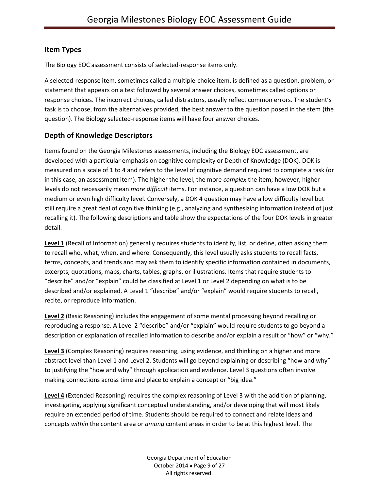#### **Item Types**

The Biology EOC assessment consists of selected-response items only.

A selected-response item, sometimes called a multiple-choice item, is defined as a question, problem, or statement that appears on a test followed by several answer choices, sometimes called options or response choices. The incorrect choices, called distractors, usually reflect common errors. The student's task is to choose, from the alternatives provided, the best answer to the question posed in the stem (the question). The Biology selected-response items will have four answer choices.

#### **Depth of Knowledge Descriptors**

Items found on the Georgia Milestones assessments, including the Biology EOC assessment, are developed with a particular emphasis on cognitive complexity or Depth of Knowledge (DOK). DOK is measured on a scale of 1 to 4 and refers to the level of cognitive demand required to complete a task (or in this case, an assessment item). The higher the level, the more *complex* the item; however, higher levels do not necessarily mean *more difficult* items. For instance, a question can have a low DOK but a medium or even high difficulty level. Conversely, a DOK 4 question may have a low difficulty level but still require a great deal of cognitive thinking (e.g., analyzing and synthesizing information instead of just recalling it). The following descriptions and table show the expectations of the four DOK levels in greater detail.

**Level 1** (Recall of Information) generally requires students to identify, list, or define, often asking them to recall who, what, when, and where. Consequently, this level usually asks students to recall facts, terms, concepts, and trends and may ask them to identify specific information contained in documents, excerpts, quotations, maps, charts, tables, graphs, or illustrations. Items that require students to "describe" and/or "explain" could be classified at Level 1 or Level 2 depending on what is to be described and/or explained. A Level 1 "describe" and/or "explain" would require students to recall, recite, or reproduce information.

**Level 2** (Basic Reasoning) includes the engagement of some mental processing beyond recalling or reproducing a response. A Level 2 "describe" and/or "explain" would require students to go beyond a description or explanation of recalled information to describe and/or explain a result or "how" or "why."

**Level 3** (Complex Reasoning) requires reasoning, using evidence, and thinking on a higher and more abstract level than Level 1 and Level 2. Students will go beyond explaining or describing "how and why" to justifying the "how and why" through application and evidence. Level 3 questions often involve making connections across time and place to explain a concept or "big idea."

**Level 4** (Extended Reasoning) requires the complex reasoning of Level 3 with the addition of planning, investigating, applying significant conceptual understanding, and/or developing that will most likely require an extended period of time. Students should be required to connect and relate ideas and concepts *within* the content area or *among* content areas in order to be at this highest level. The

> Georgia Department of Education October 2014 . Page 9 of 27 All rights reserved.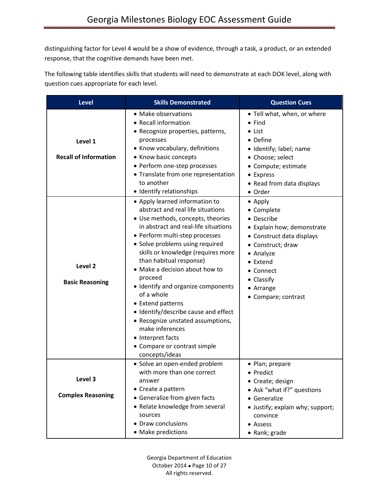distinguishing factor for Level 4 would be a show of evidence, through a task, a product, or an extended response, that the cognitive demands have been met.

The following table identifies skills that students will need to demonstrate at each DOK level, along with question cues appropriate for each level.

| <b>Level</b>                                                                            | <b>Skills Demonstrated</b>                                                                                                                                                                                                                                                                                                                                                                                                                                                                                                                                                                                                                                                                                                                                                                                                                     | <b>Question Cues</b>                                                                                                                                                                                                                                                                                                                                                                                          |
|-----------------------------------------------------------------------------------------|------------------------------------------------------------------------------------------------------------------------------------------------------------------------------------------------------------------------------------------------------------------------------------------------------------------------------------------------------------------------------------------------------------------------------------------------------------------------------------------------------------------------------------------------------------------------------------------------------------------------------------------------------------------------------------------------------------------------------------------------------------------------------------------------------------------------------------------------|---------------------------------------------------------------------------------------------------------------------------------------------------------------------------------------------------------------------------------------------------------------------------------------------------------------------------------------------------------------------------------------------------------------|
| Level 1<br><b>Recall of Information</b><br>Level <sub>2</sub><br><b>Basic Reasoning</b> | • Make observations<br>• Recall information<br>• Recognize properties, patterns,<br>processes<br>• Know vocabulary, definitions<br>• Know basic concepts<br>• Perform one-step processes<br>• Translate from one representation<br>to another<br>· Identify relationships<br>• Apply learned information to<br>abstract and real life situations<br>• Use methods, concepts, theories<br>in abstract and real-life situations<br>• Perform multi-step processes<br>• Solve problems using required<br>skills or knowledge (requires more<br>than habitual response)<br>• Make a decision about how to<br>proceed<br>· Identify and organize components<br>of a whole<br>• Extend patterns<br>• Identify/describe cause and effect<br>• Recognize unstated assumptions,<br>make inferences<br>• Interpret facts<br>• Compare or contrast simple | • Tell what, when, or where<br>$\bullet$ Find<br>• List<br>• Define<br>• Identify; label; name<br>• Choose; select<br>• Compute; estimate<br>• Express<br>• Read from data displays<br>• Order<br>• Apply<br>• Complete<br>• Describe<br>• Explain how; demonstrate<br>• Construct data displays<br>• Construct; draw<br>• Analyze<br>• Extend<br>• Connect<br>• Classify<br>• Arrange<br>• Compare; contrast |
|                                                                                         | concepts/ideas<br>· Solve an open-ended problem                                                                                                                                                                                                                                                                                                                                                                                                                                                                                                                                                                                                                                                                                                                                                                                                | • Plan; prepare                                                                                                                                                                                                                                                                                                                                                                                               |
| Level 3<br><b>Complex Reasoning</b>                                                     | with more than one correct<br>answer<br>• Create a pattern<br>• Generalize from given facts<br>• Relate knowledge from several                                                                                                                                                                                                                                                                                                                                                                                                                                                                                                                                                                                                                                                                                                                 | Predict<br>• Create; design<br>• Ask "what if?" questions<br>• Generalize<br>• Justify; explain why; support;                                                                                                                                                                                                                                                                                                 |
|                                                                                         | sources<br>• Draw conclusions<br>• Make predictions                                                                                                                                                                                                                                                                                                                                                                                                                                                                                                                                                                                                                                                                                                                                                                                            | convince<br>• Assess<br>· Rank; grade                                                                                                                                                                                                                                                                                                                                                                         |

Georgia Department of Education October 2014 Page 10 of 27 All rights reserved.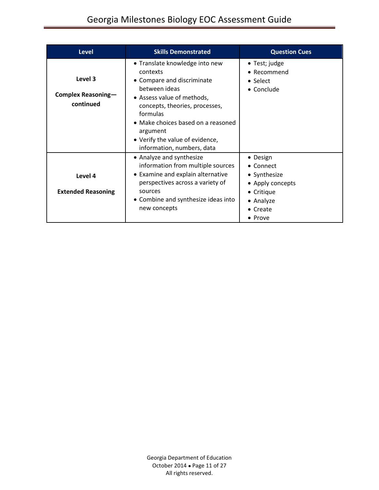## Georgia Milestones Biology EOC Assessment Guide

| <b>Level</b>                                      | <b>Skills Demonstrated</b>                                                                                                                                                                                                                                                               | <b>Question Cues</b>                                                                                        |
|---------------------------------------------------|------------------------------------------------------------------------------------------------------------------------------------------------------------------------------------------------------------------------------------------------------------------------------------------|-------------------------------------------------------------------------------------------------------------|
| Level 3<br><b>Complex Reasoning-</b><br>continued | • Translate knowledge into new<br>contexts<br>• Compare and discriminate<br>between ideas<br>• Assess value of methods,<br>concepts, theories, processes,<br>formulas<br>• Make choices based on a reasoned<br>argument<br>• Verify the value of evidence,<br>information, numbers, data | • Test; judge<br>• Recommend<br>• Select<br>• Conclude                                                      |
| Level 4<br><b>Extended Reasoning</b>              | • Analyze and synthesize<br>information from multiple sources<br>• Examine and explain alternative<br>perspectives across a variety of<br>sources<br>• Combine and synthesize ideas into<br>new concepts                                                                                 | • Design<br>• Connect<br>• Synthesize<br>• Apply concepts<br>• Critique<br>• Analyze<br>• Create<br>• Prove |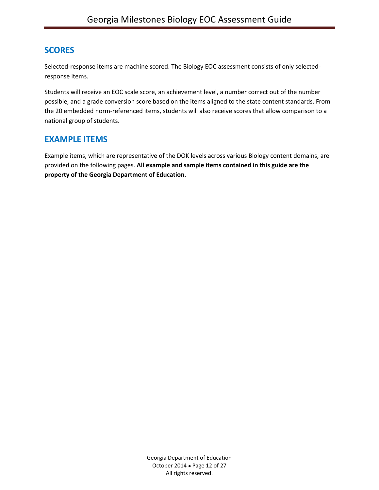## **SCORES**

Selected-response items are machine scored. The Biology EOC assessment consists of only selectedresponse items.

Students will receive an EOC scale score, an achievement level, a number correct out of the number possible, and a grade conversion score based on the items aligned to the state content standards. From the 20 embedded norm-referenced items, students will also receive scores that allow comparison to a national group of students.

## **EXAMPLE ITEMS**

Example items, which are representative of the DOK levels across various Biology content domains, are provided on the following pages. **All example and sample items contained in this guide are the property of the Georgia Department of Education.**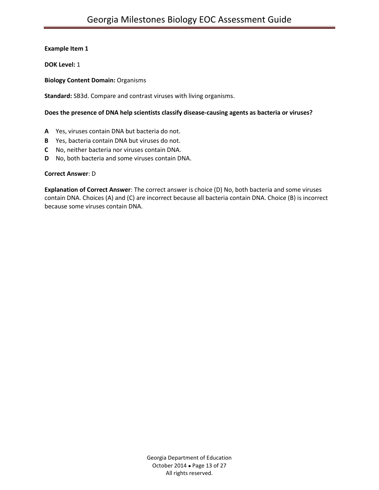**DOK Level:** 1

#### **Biology Content Domain:** Organisms

**Standard:** SB3d. Compare and contrast viruses with living organisms.

#### **Does the presence of DNA help scientists classify disease-causing agents as bacteria or viruses?**

- **A** Yes, viruses contain DNA but bacteria do not.
- **B** Yes, bacteria contain DNA but viruses do not.
- **C** No, neither bacteria nor viruses contain DNA.
- **D** No, both bacteria and some viruses contain DNA.

#### **Correct Answer**: D

**Explanation of Correct Answer**: The correct answer is choice (D) No, both bacteria and some viruses contain DNA. Choices (A) and (C) are incorrect because all bacteria contain DNA. Choice (B) is incorrect because some viruses contain DNA.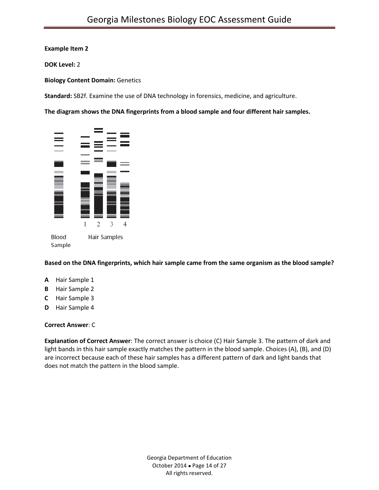**DOK Level:** 2

**Biology Content Domain:** Genetics

**Standard:** SB2f. Examine the use of DNA technology in forensics, medicine, and agriculture.

**The diagram shows the DNA fingerprints from a blood sample and four different hair samples.**



**Based on the DNA fingerprints, which hair sample came from the same organism as the blood sample?**

- **A** Hair Sample 1
- **B** Hair Sample 2
- **C** Hair Sample 3
- **D** Hair Sample 4

#### **Correct Answer**: C

**Explanation of Correct Answer**: The correct answer is choice (C) Hair Sample 3. The pattern of dark and light bands in this hair sample exactly matches the pattern in the blood sample. Choices (A), (B), and (D) are incorrect because each of these hair samples has a different pattern of dark and light bands that does not match the pattern in the blood sample.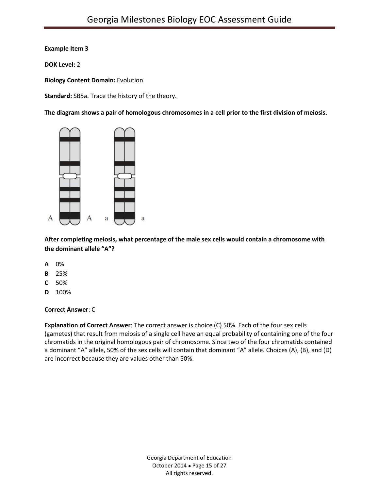**DOK Level:** 2

**Biology Content Domain:** Evolution

**Standard:** SB5a. Trace the history of the theory.

**The diagram shows a pair of homologous chromosomes in a cell prior to the first division of meiosis.**



**After completing meiosis, what percentage of the male sex cells would contain a chromosome with the dominant allele "A"?**

- **A** 0%
- **B** 25%
- **C** 50%
- **D** 100%

#### **Correct Answer**: C

**Explanation of Correct Answer**: The correct answer is choice (C) 50%. Each of the four sex cells (gametes) that result from meiosis of a single cell have an equal probability of containing one of the four chromatids in the original homologous pair of chromosome. Since two of the four chromatids contained a dominant "A" allele, 50% of the sex cells will contain that dominant "A" allele. Choices (A), (B), and (D) are incorrect because they are values other than 50%.

> Georgia Department of Education October 2014 Page 15 of 27 All rights reserved.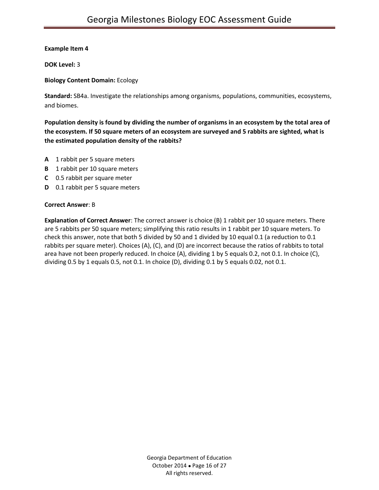**DOK Level:** 3

**Biology Content Domain:** Ecology

**Standard:** SB4a. Investigate the relationships among organisms, populations, communities, ecosystems, and biomes.

**Population density is found by dividing the number of organisms in an ecosystem by the total area of the ecosystem. If 50 square meters of an ecosystem are surveyed and 5 rabbits are sighted, what is the estimated population density of the rabbits?**

- **A** 1 rabbit per 5 square meters
- **B** 1 rabbit per 10 square meters
- **C** 0.5 rabbit per square meter
- **D** 0.1 rabbit per 5 square meters

#### **Correct Answer**: B

**Explanation of Correct Answer**: The correct answer is choice (B) 1 rabbit per 10 square meters. There are 5 rabbits per 50 square meters; simplifying this ratio results in 1 rabbit per 10 square meters. To check this answer, note that both 5 divided by 50 and 1 divided by 10 equal 0.1 (a reduction to 0.1 rabbits per square meter). Choices (A), (C), and (D) are incorrect because the ratios of rabbits to total area have not been properly reduced. In choice (A), dividing 1 by 5 equals 0.2, not 0.1. In choice (C), dividing 0.5 by 1 equals 0.5, not 0.1. In choice (D), dividing 0.1 by 5 equals 0.02, not 0.1.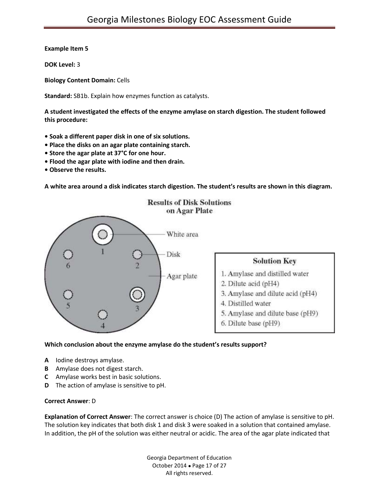**DOK Level:** 3

**Biology Content Domain:** Cells

**Standard:** SB1b. Explain how enzymes function as catalysts.

**A student investigated the effects of the enzyme amylase on starch digestion. The student followed this procedure:**

- **Soak a different paper disk in one of six solutions.**
- **Place the disks on an agar plate containing starch.**
- **Store the agar plate at 37°C for one hour.**
- **Flood the agar plate with iodine and then drain.**
- **Observe the results.**

**A white area around a disk indicates starch digestion. The student's results are shown in this diagram.**



#### **Which conclusion about the enzyme amylase do the student's results support?**

- **A** Iodine destroys amylase.
- **B** Amylase does not digest starch.
- **C** Amylase works best in basic solutions.
- **D** The action of amylase is sensitive to pH.

#### **Correct Answer**: D

**Explanation of Correct Answer**: The correct answer is choice (D) The action of amylase is sensitive to pH. The solution key indicates that both disk 1 and disk 3 were soaked in a solution that contained amylase. In addition, the pH of the solution was either neutral or acidic. The area of the agar plate indicated that

> Georgia Department of Education October 2014 Page 17 of 27 All rights reserved.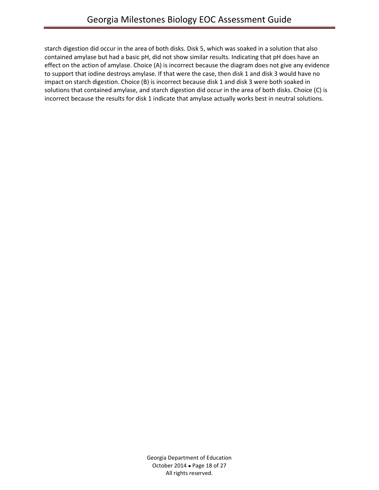starch digestion did occur in the area of both disks. Disk 5, which was soaked in a solution that also contained amylase but had a basic pH, did not show similar results. Indicating that pH does have an effect on the action of amylase. Choice (A) is incorrect because the diagram does not give any evidence to support that iodine destroys amylase. If that were the case, then disk 1 and disk 3 would have no impact on starch digestion. Choice (B) is incorrect because disk 1 and disk 3 were both soaked in solutions that contained amylase, and starch digestion did occur in the area of both disks. Choice (C) is incorrect because the results for disk 1 indicate that amylase actually works best in neutral solutions.

> Georgia Department of Education October 2014 Page 18 of 27 All rights reserved.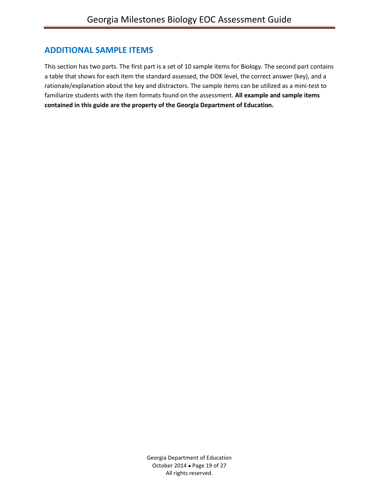## **ADDITIONAL SAMPLE ITEMS**

This section has two parts. The first part is a set of 10 sample items for Biology. The second part contains a table that shows for each item the standard assessed, the DOK level, the correct answer (key), and a rationale/explanation about the key and distractors. The sample items can be utilized as a mini-test to familiarize students with the item formats found on the assessment. **All example and sample items contained in this guide are the property of the Georgia Department of Education.**

> Georgia Department of Education October 2014 Page 19 of 27 All rights reserved.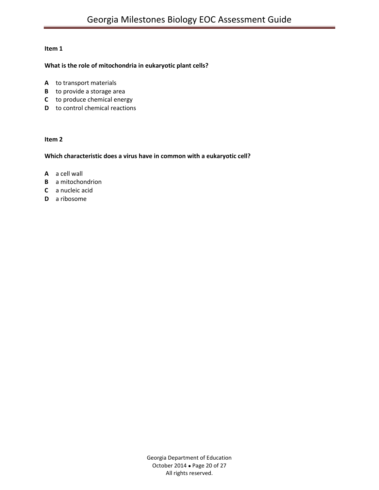#### **What is the role of mitochondria in eukaryotic plant cells?**

- **A** to transport materials
- **B** to provide a storage area
- **C** to produce chemical energy
- **D** to control chemical reactions

#### **Item 2**

#### **Which characteristic does a virus have in common with a eukaryotic cell?**

- **A** a cell wall
- **B** a mitochondrion
- **C** a nucleic acid
- **D** a ribosome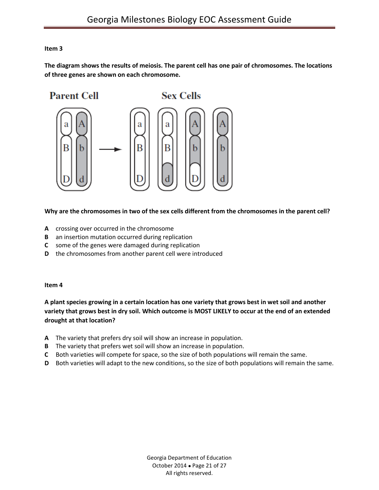**The diagram shows the results of meiosis. The parent cell has one pair of chromosomes. The locations of three genes are shown on each chromosome.**



#### **Why are the chromosomes in two of the sex cells different from the chromosomes in the parent cell?**

- **A** crossing over occurred in the chromosome
- **B** an insertion mutation occurred during replication
- **C** some of the genes were damaged during replication
- **D** the chromosomes from another parent cell were introduced

#### **Item 4**

**A plant species growing in a certain location has one variety that grows best in wet soil and another variety that grows best in dry soil. Which outcome is MOST LIKELY to occur at the end of an extended drought at that location?**

- **A** The variety that prefers dry soil will show an increase in population.
- **B** The variety that prefers wet soil will show an increase in population.
- **C** Both varieties will compete for space, so the size of both populations will remain the same.
- **D** Both varieties will adapt to the new conditions, so the size of both populations will remain the same.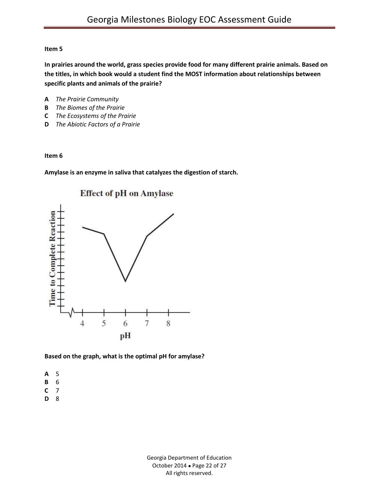**In prairies around the world, grass species provide food for many different prairie animals. Based on the titles, in which book would a student find the MOST information about relationships between specific plants and animals of the prairie?**

- **A** *The Prairie Community*
- **B** *The Biomes of the Prairie*
- **C** *The Ecosystems of the Prairie*
- **D** *The Abiotic Factors of a Prairie*

#### **Item 6**

**Amylase is an enzyme in saliva that catalyzes the digestion of starch.**



#### **Based on the graph, what is the optimal pH for amylase?**

- **A** 5
- **B** 6
- **C** 7
- **D** 8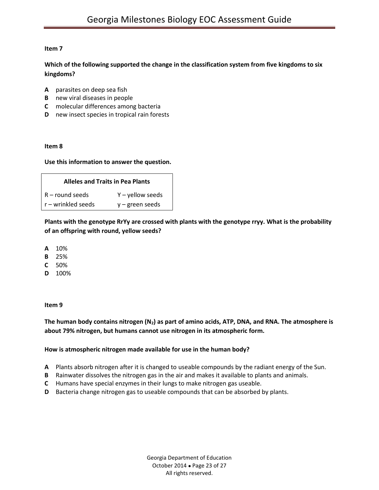**Which of the following supported the change in the classification system from five kingdoms to six kingdoms?**

- **A** parasites on deep sea fish
- **B** new viral diseases in people
- **C** molecular differences among bacteria
- **D** new insect species in tropical rain forests

#### **Item 8**

#### **Use this information to answer the question.**

| <b>Alleles and Traits in Pea Plants</b> |                    |  |  |  |  |
|-----------------------------------------|--------------------|--|--|--|--|
| $R$ – round seeds                       | $Y$ – yellow seeds |  |  |  |  |
| r – wrinkled seeds<br>$y$ – green seeds |                    |  |  |  |  |

**Plants with the genotype RrYy are crossed with plants with the genotype rryy. What is the probability of an offspring with round, yellow seeds?**

- **A** 10%
- **B** 25%
- **C** 50%
- **D** 100%

#### **Item 9**

**The human body contains nitrogen (N2) as part of amino acids, ATP, DNA, and RNA. The atmosphere is about 79% nitrogen, but humans cannot use nitrogen in its atmospheric form.**

#### **How is atmospheric nitrogen made available for use in the human body?**

- **A** Plants absorb nitrogen after it is changed to useable compounds by the radiant energy of the Sun.
- **B** Rainwater dissolves the nitrogen gas in the air and makes it available to plants and animals.
- **C** Humans have special enzymes in their lungs to make nitrogen gas useable.
- **D** Bacteria change nitrogen gas to useable compounds that can be absorbed by plants.

Georgia Department of Education October 2014 Page 23 of 27 All rights reserved.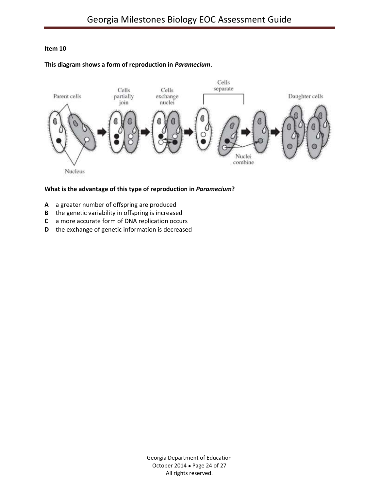#### **This diagram shows a form of reproduction in** *Paramecium***.**



#### **What is the advantage of this type of reproduction in** *Paramecium***?**

- **A** a greater number of offspring are produced
- **B** the genetic variability in offspring is increased
- **C** a more accurate form of DNA replication occurs
- **D** the exchange of genetic information is decreased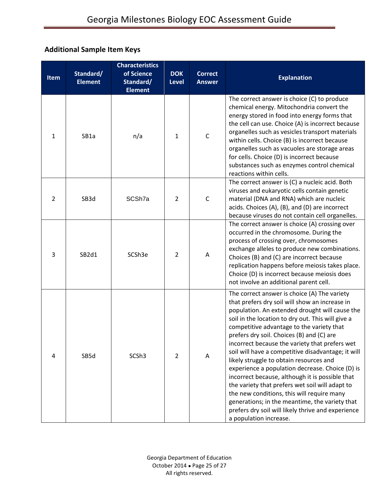## **Additional Sample Item Keys**

| <b>Item</b>    | Standard/<br><b>Element</b> | <b>Characteristics</b><br>of Science<br>Standard/<br><b>Element</b> | <b>DOK</b><br><b>Level</b> | <b>Correct</b><br><b>Answer</b> | <b>Explanation</b>                                                                                                                                                                                                                                                                                                                                                                                                                                                                                                                                                                                                                                                                                                                                                                          |
|----------------|-----------------------------|---------------------------------------------------------------------|----------------------------|---------------------------------|---------------------------------------------------------------------------------------------------------------------------------------------------------------------------------------------------------------------------------------------------------------------------------------------------------------------------------------------------------------------------------------------------------------------------------------------------------------------------------------------------------------------------------------------------------------------------------------------------------------------------------------------------------------------------------------------------------------------------------------------------------------------------------------------|
| $\mathbf{1}$   | SB1a                        | n/a                                                                 | $\mathbf{1}$               | $\mathsf{C}$                    | The correct answer is choice (C) to produce<br>chemical energy. Mitochondria convert the<br>energy stored in food into energy forms that<br>the cell can use. Choice (A) is incorrect because<br>organelles such as vesicles transport materials<br>within cells. Choice (B) is incorrect because<br>organelles such as vacuoles are storage areas<br>for cells. Choice (D) is incorrect because<br>substances such as enzymes control chemical<br>reactions within cells.                                                                                                                                                                                                                                                                                                                  |
| $\overline{2}$ | SB3d                        | SCSh7a                                                              | 2                          | $\mathsf C$                     | The correct answer is (C) a nucleic acid. Both<br>viruses and eukaryotic cells contain genetic<br>material (DNA and RNA) which are nucleic<br>acids. Choices (A), (B), and (D) are incorrect<br>because viruses do not contain cell organelles.                                                                                                                                                                                                                                                                                                                                                                                                                                                                                                                                             |
| 3              | SB2d1                       | SCSh3e                                                              | $\overline{2}$             | Α                               | The correct answer is choice (A) crossing over<br>occurred in the chromosome. During the<br>process of crossing over, chromosomes<br>exchange alleles to produce new combinations.<br>Choices (B) and (C) are incorrect because<br>replication happens before meiosis takes place.<br>Choice (D) is incorrect because meiosis does<br>not involve an additional parent cell.                                                                                                                                                                                                                                                                                                                                                                                                                |
| 4              | SB5d                        | SCSh <sub>3</sub>                                                   | $\overline{2}$             | Α                               | The correct answer is choice (A) The variety<br>that prefers dry soil will show an increase in<br>population. An extended drought will cause the<br>soil in the location to dry out. This will give a<br>competitive advantage to the variety that<br>prefers dry soil. Choices (B) and (C) are<br>incorrect because the variety that prefers wet<br>soil will have a competitive disadvantage; it will<br>likely struggle to obtain resources and<br>experience a population decrease. Choice (D) is<br>incorrect because, although it is possible that<br>the variety that prefers wet soil will adapt to<br>the new conditions, this will require many<br>generations; in the meantime, the variety that<br>prefers dry soil will likely thrive and experience<br>a population increase. |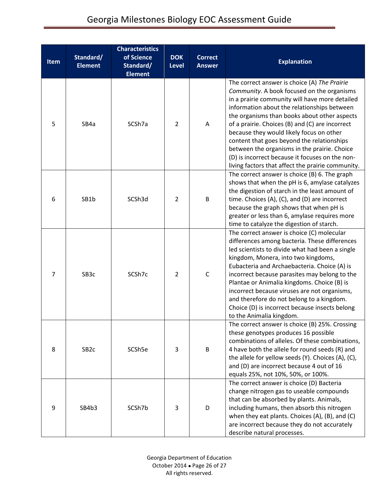| <b>Item</b>    | Standard/<br><b>Element</b> | <b>Characteristics</b><br>of Science<br>Standard/<br><b>Element</b> | <b>DOK</b><br><b>Level</b> | <b>Correct</b><br><b>Answer</b> | <b>Explanation</b>                                                                                                                                                                                                                                                                                                                                                                                                                                                                                                                               |
|----------------|-----------------------------|---------------------------------------------------------------------|----------------------------|---------------------------------|--------------------------------------------------------------------------------------------------------------------------------------------------------------------------------------------------------------------------------------------------------------------------------------------------------------------------------------------------------------------------------------------------------------------------------------------------------------------------------------------------------------------------------------------------|
| 5              | SB4a                        | SCSh7a                                                              | $\overline{2}$             | A                               | The correct answer is choice (A) The Prairie<br>Community. A book focused on the organisms<br>in a prairie community will have more detailed<br>information about the relationships between<br>the organisms than books about other aspects<br>of a prairie. Choices (B) and (C) are incorrect<br>because they would likely focus on other<br>content that goes beyond the relationships<br>between the organisms in the prairie. Choice<br>(D) is incorrect because it focuses on the non-<br>living factors that affect the prairie community. |
| 6              | SB1b                        | SCSh3d                                                              | $\overline{2}$             | B                               | The correct answer is choice (B) 6. The graph<br>shows that when the pH is 6, amylase catalyzes<br>the digestion of starch in the least amount of<br>time. Choices (A), (C), and (D) are incorrect<br>because the graph shows that when pH is<br>greater or less than 6, amylase requires more<br>time to catalyze the digestion of starch.                                                                                                                                                                                                      |
| $\overline{7}$ | SB <sub>3</sub> c           | SCSh7c                                                              | $\overline{2}$             | $\mathsf C$                     | The correct answer is choice (C) molecular<br>differences among bacteria. These differences<br>led scientists to divide what had been a single<br>kingdom, Monera, into two kingdoms,<br>Eubacteria and Archaebacteria. Choice (A) is<br>incorrect because parasites may belong to the<br>Plantae or Animalia kingdoms. Choice (B) is<br>incorrect because viruses are not organisms,<br>and therefore do not belong to a kingdom.<br>Choice (D) is incorrect because insects belong<br>to the Animalia kingdom.                                 |
| 8              | SB <sub>2c</sub>            | SCSh5e                                                              | 3                          | B                               | The correct answer is choice (B) 25%. Crossing<br>these genotypes produces 16 possible<br>combinations of alleles. Of these combinations,<br>4 have both the allele for round seeds (R) and<br>the allele for yellow seeds (Y). Choices (A), (C),<br>and (D) are incorrect because 4 out of 16<br>equals 25%, not 10%, 50%, or 100%.                                                                                                                                                                                                             |
| 9              | SB4b3                       | SCSh7b                                                              | 3                          | D                               | The correct answer is choice (D) Bacteria<br>change nitrogen gas to useable compounds<br>that can be absorbed by plants. Animals,<br>including humans, then absorb this nitrogen<br>when they eat plants. Choices (A), (B), and (C)<br>are incorrect because they do not accurately<br>describe natural processes.                                                                                                                                                                                                                               |